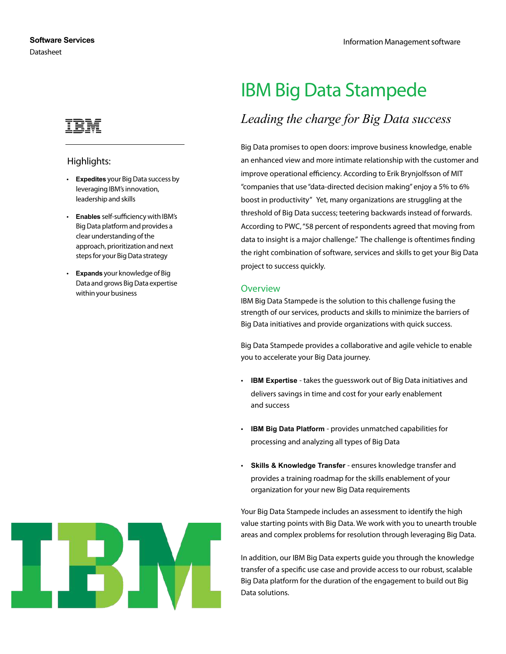

## Highlights:

- **Expedites** your Big Data success by leveraging IBM's innovation, leadership and skills
- **Enables** self-sufficiency with IBM's Big Data platform and provides a clear understanding of the approach, prioritization and next steps for your Big Data strategy
- **Expands** your knowledge of Big Data and grows Big Data expertise within your business

# IBM Big Data Stampede

# *Leading the charge for Big Data success*

Big Data promises to open doors: improve business knowledge, enable an enhanced view and more intimate relationship with the customer and improve operational efficiency. According to Erik Brynjolfsson of MIT "companies that use "data-directed decision making" enjoy a 5% to 6% boost in productivity" Yet, many organizations are struggling at the threshold of Big Data success; teetering backwards instead of forwards. According to PWC, "58 percent of respondents agreed that moving from data to insight is a major challenge." The challenge is oftentimes finding the right combination of software, services and skills to get your Big Data project to success quickly.

#### **Overview**

IBM Big Data Stampede is the solution to this challenge fusing the strength of our services, products and skills to minimize the barriers of Big Data initiatives and provide organizations with quick success.

Big Data Stampede provides a collaborative and agile vehicle to enable you to accelerate your Big Data journey.

- **IBM Expertise**  takes the guesswork out of Big Data initiatives and delivers savings in time and cost for your early enablement and success
- **IBM Big Data Platform**  provides unmatched capabilities for processing and analyzing all types of Big Data
- **Skills & Knowledge Transfer**  ensures knowledge transfer and provides a training roadmap for the skills enablement of your organization for your new Big Data requirements

Your Big Data Stampede includes an assessment to identify the high value starting points with Big Data. We work with you to unearth trouble areas and complex problems for resolution through leveraging Big Data.

In addition, our IBM Big Data experts guide you through the knowledge transfer of a specific use case and provide access to our robust, scalable Big Data platform for the duration of the engagement to build out Big Data solutions.